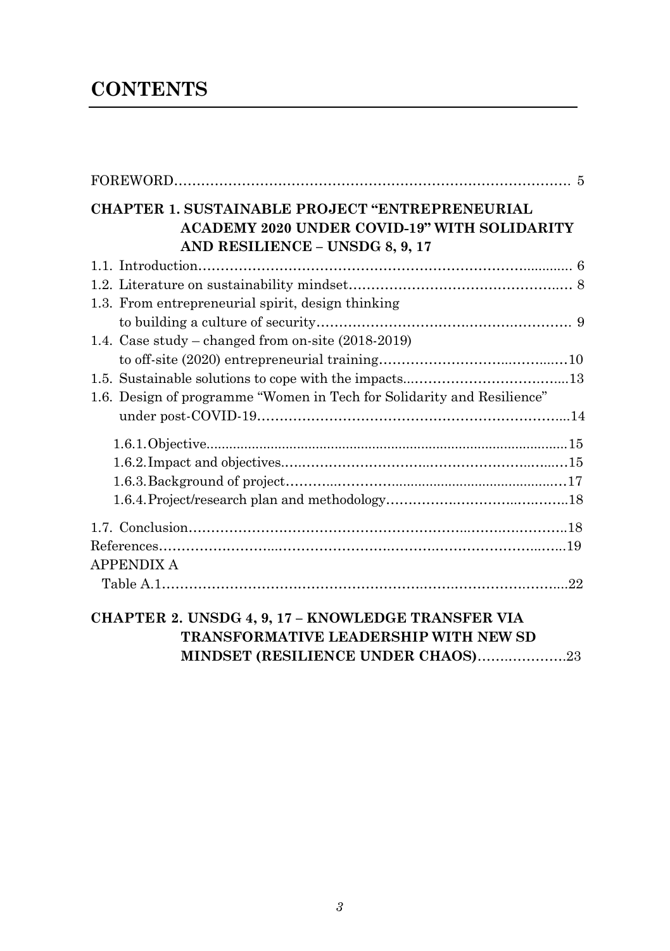# **CONTENTS**

| CHAPTER 1. SUSTAINABLE PROJECT "ENTREPRENEURIAL<br><b>ACADEMY 2020 UNDER COVID-19" WITH SOLIDARITY</b><br>AND RESILIENCE - UNSDG 8, 9, 17 |  |
|-------------------------------------------------------------------------------------------------------------------------------------------|--|
|                                                                                                                                           |  |
|                                                                                                                                           |  |
| 1.3. From entrepreneurial spirit, design thinking                                                                                         |  |
|                                                                                                                                           |  |
| 1.4. Case study – changed from on-site $(2018-2019)$                                                                                      |  |
|                                                                                                                                           |  |
|                                                                                                                                           |  |
| 1.6. Design of programme "Women in Tech for Solidarity and Resilience"                                                                    |  |
|                                                                                                                                           |  |
|                                                                                                                                           |  |
|                                                                                                                                           |  |
|                                                                                                                                           |  |
|                                                                                                                                           |  |
|                                                                                                                                           |  |
|                                                                                                                                           |  |
| <b>APPENDIX A</b>                                                                                                                         |  |
|                                                                                                                                           |  |
| <b>CHAPTER 2. UNSDG 4, 9, 17 – KNOWLEDGE TRANSFER VIA</b>                                                                                 |  |

**TRANSFORMATIVE LEADERSHIP WITH NEW SD** 

### **MINDSET (RESILIENCE UNDER CHAOS)**…….………….23